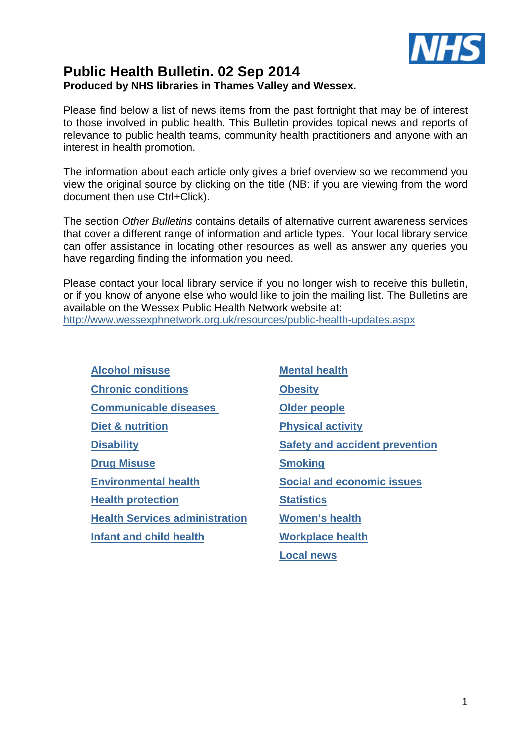

# **Public Health Bulletin. 02 Sep 2014 Produced by NHS libraries in Thames Valley and Wessex.**

Please find below a list of news items from the past fortnight that may be of interest to those involved in public health. This Bulletin provides topical news and reports of relevance to public health teams, community health practitioners and anyone with an interest in health promotion.

The information about each article only gives a brief overview so we recommend you view the original source by clicking on the title (NB: if you are viewing from the word document then use Ctrl+Click).

The section Other Bulletins contains details of alternative current awareness services that cover a different range of information and article types. Your local library service can offer assistance in locating other resources as well as answer any queries you have regarding finding the information you need.

Please contact your local library service if you no longer wish to receive this bulletin, or if you know of anyone else who would like to join the mailing list. The Bulletins are available on the Wessex Public Health Network website at: http://www.wessexphnetwork.org.uk/resources/public-health-updates.aspx

**Alcohol misuse Mental health Chronic conditions Obesity Communicable diseases Older people Diet & nutrition Physical activity Disability Safety and accident prevention Drug Misuse Smoking Environmental health Social and economic issues Health protection Statistics Health Services administration Women's health Infant and child health Workplace health** 

**Local news**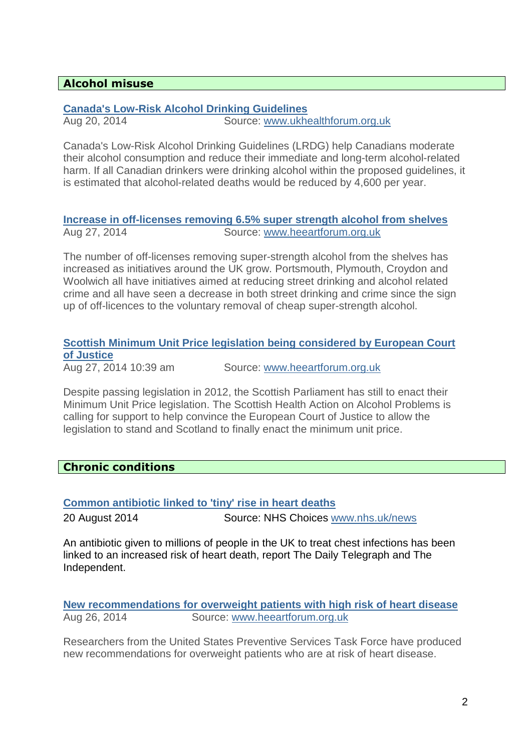# **Alcohol misuse**

# **Canada's Low-Risk Alcohol Drinking Guidelines**

Aug 20, 2014 Source: www.ukhealthforum.org.uk

Canada's Low-Risk Alcohol Drinking Guidelines (LRDG) help Canadians moderate their alcohol consumption and reduce their immediate and long-term alcohol-related harm. If all Canadian drinkers were drinking alcohol within the proposed guidelines, it is estimated that alcohol-related deaths would be reduced by 4,600 per year.

## **Increase in off-licenses removing 6.5% super strength alcohol from shelves**  Aug 27, 2014 Source: www.heeartforum.org.uk

The number of off-licenses removing super-strength alcohol from the shelves has increased as initiatives around the UK grow. Portsmouth, Plymouth, Croydon and Woolwich all have initiatives aimed at reducing street drinking and alcohol related crime and all have seen a decrease in both street drinking and crime since the sign up of off-licences to the voluntary removal of cheap super-strength alcohol.

# **Scottish Minimum Unit Price legislation being considered by European Court of Justice**

Aug 27, 2014 10:39 am Source: www.heeartforum.org.uk

Despite passing legislation in 2012, the Scottish Parliament has still to enact their Minimum Unit Price legislation. The Scottish Health Action on Alcohol Problems is calling for support to help convince the European Court of Justice to allow the legislation to stand and Scotland to finally enact the minimum unit price.

# **Chronic conditions**

# **Common antibiotic linked to 'tiny' rise in heart deaths**

20 August 2014 Source: NHS Choices www.nhs.uk/news

An antibiotic given to millions of people in the UK to treat chest infections has been linked to an increased risk of heart death, report The Daily Telegraph and The Independent.

### **New recommendations for overweight patients with high risk of heart disease**  Aug 26, 2014 Source: www.heeartforum.org.uk

Researchers from the United States Preventive Services Task Force have produced new recommendations for overweight patients who are at risk of heart disease.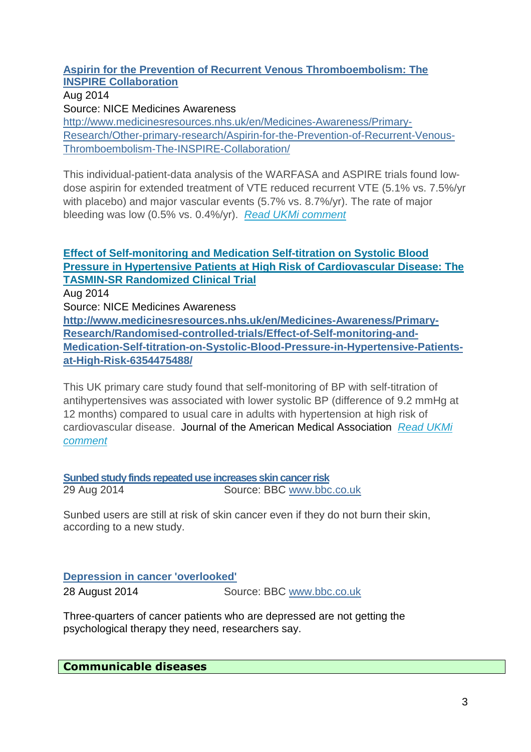## **Aspirin for the Prevention of Recurrent Venous Thromboembolism: The INSPIRE Collaboration**

Aug 2014 Source: NICE Medicines Awareness http://www.medicinesresources.nhs.uk/en/Medicines-Awareness/Primary-Research/Other-primary-research/Aspirin-for-the-Prevention-of-Recurrent-Venous-Thromboembolism-The-INSPIRE-Collaboration/

This individual-patient-data analysis of the WARFASA and ASPIRE trials found lowdose aspirin for extended treatment of VTE reduced recurrent VTE (5.1% vs. 7.5%/yr with placebo) and major vascular events (5.7% vs. 8.7%/yr). The rate of major bleeding was low (0.5% vs. 0.4%/yr). Read UKMi comment

# **Effect of Self-monitoring and Medication Self-titration on Systolic Blood Pressure in Hypertensive Patients at High Risk of Cardiovascular Disease: The TASMIN-SR Randomized Clinical Trial**

Aug 2014

Source: NICE Medicines Awareness

**http://www.medicinesresources.nhs.uk/en/Medicines-Awareness/Primary-Research/Randomised-controlled-trials/Effect-of-Self-monitoring-and-Medication-Self-titration-on-Systolic-Blood-Pressure-in-Hypertensive-Patientsat-High-Risk-6354475488/** 

This UK primary care study found that self-monitoring of BP with self-titration of antihypertensives was associated with lower systolic BP (difference of 9.2 mmHg at 12 months) compared to usual care in adults with hypertension at high risk of cardiovascular disease. Journal of the American Medical Association Read UKMi comment

**Sunbed study finds repeated use increases skin cancer risk** 29 Aug 2014 Source: BBC www.bbc.co.uk

Sunbed users are still at risk of skin cancer even if they do not burn their skin, according to a new study.

# **Depression in cancer 'overlooked'**

28 August 2014 Source: BBC www.bbc.co.uk

Three-quarters of cancer patients who are depressed are not getting the psychological therapy they need, researchers say.

**Communicable diseases**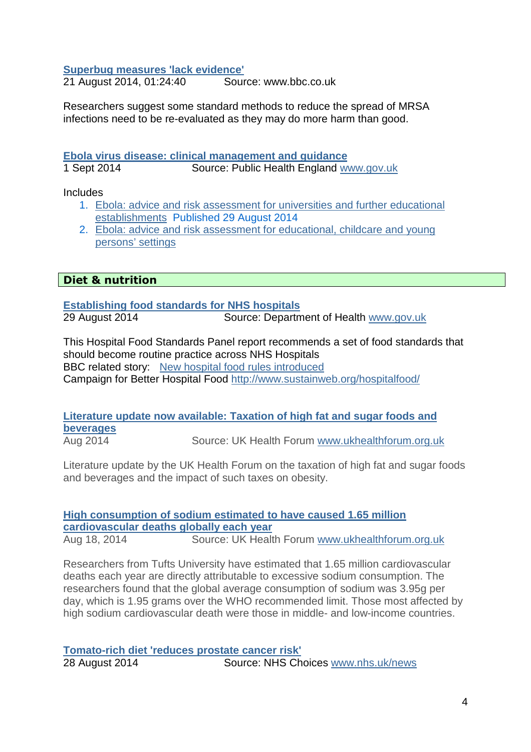#### **Superbug measures 'lack evidence'**

21 August 2014, 01:24:40 Source: www.bbc.co.uk

Researchers suggest some standard methods to reduce the spread of MRSA infections need to be re-evaluated as they may do more harm than good.

#### **Ebola virus disease: clinical management and guidance**

1 Sept 2014 Source: Public Health England www.gov.uk

Includes

- 1. Ebola: advice and risk assessment for universities and further educational establishments Published 29 August 2014
- 2. Ebola: advice and risk assessment for educational, childcare and young persons' settings

## **Diet & nutrition**

**Establishing food standards for NHS hospitals**

29 August 2014 Source: Department of Health www.gov.uk

This Hospital Food Standards Panel report recommends a set of food standards that should become routine practice across NHS Hospitals BBC related story: New hospital food rules introduced Campaign for Better Hospital Food http://www.sustainweb.org/hospitalfood/

# **Literature update now available: Taxation of high fat and sugar foods and beverages**

Aug 2014 Source: UK Health Forum www.ukhealthforum.org.uk

Literature update by the UK Health Forum on the taxation of high fat and sugar foods and beverages and the impact of such taxes on obesity.

#### **High consumption of sodium estimated to have caused 1.65 million cardiovascular deaths globally each year**  Aug 18, 2014 Source: UK Health Forum www.ukhealthforum.org.uk

Researchers from Tufts University have estimated that 1.65 million cardiovascular deaths each year are directly attributable to excessive sodium consumption. The researchers found that the global average consumption of sodium was 3.95g per day, which is 1.95 grams over the WHO recommended limit. Those most affected by high sodium cardiovascular death were those in middle- and low-income countries.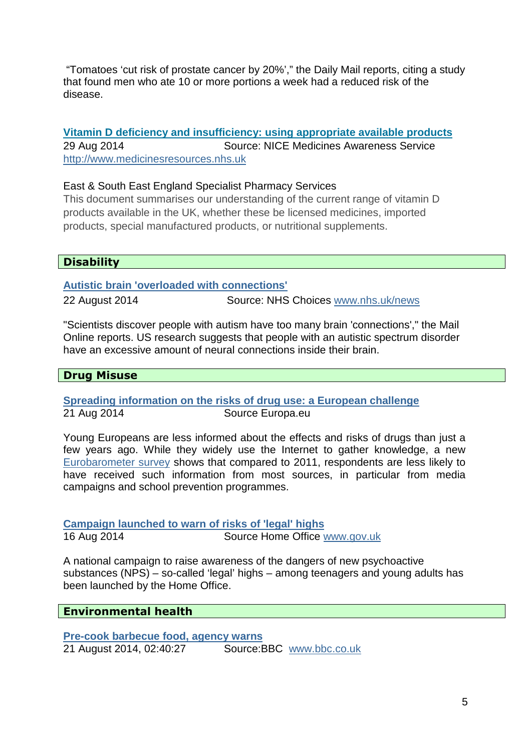"Tomatoes 'cut risk of prostate cancer by 20%'," the Daily Mail reports, citing a study that found men who ate 10 or more portions a week had a reduced risk of the disease.

**Vitamin D deficiency and insufficiency: using appropriate available products** 29 Aug 2014 Source: NICE Medicines Awareness Service http://www.medicinesresources.nhs.uk

## East & South East England Specialist Pharmacy Services

This document summarises our understanding of the current range of vitamin D products available in the UK, whether these be licensed medicines, imported products, special manufactured products, or nutritional supplements.

# **Disability**

### **Autistic brain 'overloaded with connections'**

22 August 2014 Source: NHS Choices www.nhs.uk/news

"Scientists discover people with autism have too many brain 'connections'," the Mail Online reports. US research suggests that people with an autistic spectrum disorder have an excessive amount of neural connections inside their brain.

# **Drug Misuse**

### **Spreading information on the risks of drug use: a European challenge** 21 Aug 2014 Source Europa.eu

Young Europeans are less informed about the effects and risks of drugs than just a few years ago. While they widely use the Internet to gather knowledge, a new Eurobarometer survey shows that compared to 2011, respondents are less likely to have received such information from most sources, in particular from media campaigns and school prevention programmes.

**Campaign launched to warn of risks of 'legal' highs** 16 Aug 2014 Source Home Office www.gov.uk

A national campaign to raise awareness of the dangers of new psychoactive substances (NPS) – so-called 'legal' highs – among teenagers and young adults has been launched by the Home Office.

### **Environmental health**

**Pre-cook barbecue food, agency warns** 21 August 2014, 02:40:27 Source:BBC www.bbc.co.uk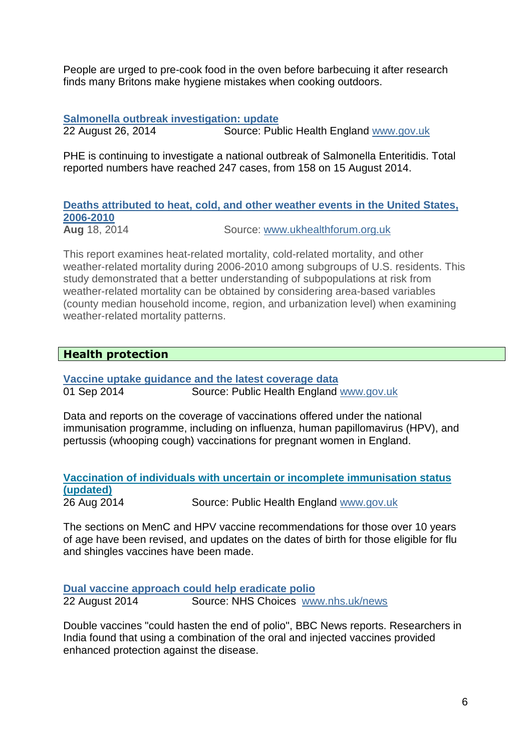People are urged to pre-cook food in the oven before barbecuing it after research finds many Britons make hygiene mistakes when cooking outdoors.

### **Salmonella outbreak investigation: update**

22 August 26, 2014 Source: Public Health England www.gov.uk

PHE is continuing to investigate a national outbreak of Salmonella Enteritidis. Total reported numbers have reached 247 cases, from 158 on 15 August 2014.

**Deaths attributed to heat, cold, and other weather events in the United States, 2006-2010** Aug 18, 2014 Source: www.ukhealthforum.org.uk

This report examines heat-related mortality, cold-related mortality, and other weather-related mortality during 2006-2010 among subgroups of U.S. residents. This study demonstrated that a better understanding of subpopulations at risk from weather-related mortality can be obtained by considering area-based variables (county median household income, region, and urbanization level) when examining weather-related mortality patterns.

## **Health protection**

**Vaccine uptake guidance and the latest coverage data** 01 Sep 2014 Source: Public Health England www.gov.uk

Data and reports on the coverage of vaccinations offered under the national immunisation programme, including on influenza, human papillomavirus (HPV), and pertussis (whooping cough) vaccinations for pregnant women in England.

#### **Vaccination of individuals with uncertain or incomplete immunisation status (updated)** 26 Aug 2014 Source: Public Health England www.gov.uk

The sections on MenC and HPV vaccine recommendations for those over 10 years of age have been revised, and updates on the dates of birth for those eligible for flu and shingles vaccines have been made.

**Dual vaccine approach could help eradicate polio** 22 August 2014 Source: NHS Choices www.nhs.uk/news

Double vaccines "could hasten the end of polio", BBC News reports. Researchers in India found that using a combination of the oral and injected vaccines provided enhanced protection against the disease.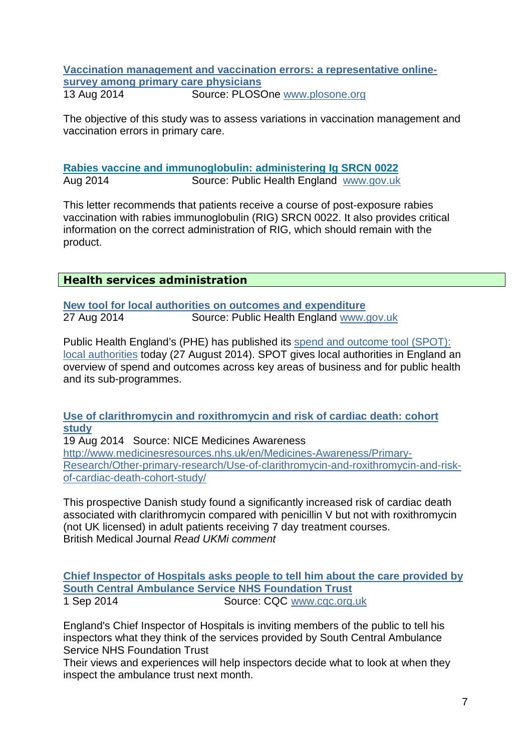#### **Vaccination management and vaccination errors: a representative onlinesurvey among primary care physicians** 13 Aug 2014 Source: PLOSOne www.plosone.org

The objective of this study was to assess variations in vaccination management and vaccination errors in primary care.

### **Rabies vaccine and immunoglobulin: administering Ig SRCN 0022** Aug 2014 Source: Public Health England www.gov.uk

This letter recommends that patients receive a course of post-exposure rabies vaccination with rabies immunoglobulin (RIG) SRCN 0022. It also provides critical information on the correct administration of RIG, which should remain with the product.

## **Health services administration**

**New tool for local authorities on outcomes and expenditure** 27 Aug 2014 Source: Public Health England www.gov.uk

Public Health England's (PHE) has published its spend and outcome tool (SPOT): local authorities today (27 August 2014). SPOT gives local authorities in England an overview of spend and outcomes across key areas of business and for public health and its sub-programmes.

#### **Use of clarithromycin and roxithromycin and risk of cardiac death: cohort study**

19 Aug 2014 Source: NICE Medicines Awareness

http://www.medicinesresources.nhs.uk/en/Medicines-Awareness/Primary-Research/Other-primary-research/Use-of-clarithromycin-and-roxithromycin-and-riskof-cardiac-death-cohort-study/

This prospective Danish study found a significantly increased risk of cardiac death associated with clarithromycin compared with penicillin V but not with roxithromycin (not UK licensed) in adult patients receiving 7 day treatment courses. British Medical Journal Read UKMi comment

**Chief Inspector of Hospitals asks people to tell him about the care provided by South Central Ambulance Service NHS Foundation Trust** 1 Sep 2014 Source: CQC www.cqc.org.uk

England's Chief Inspector of Hospitals is inviting members of the public to tell his inspectors what they think of the services provided by South Central Ambulance Service NHS Foundation Trust

Their views and experiences will help inspectors decide what to look at when they inspect the ambulance trust next month.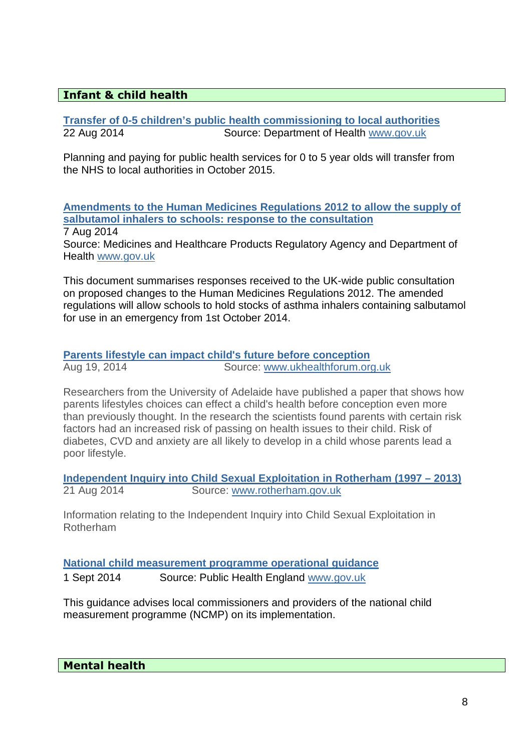# **Infant & child health**

**Transfer of 0-5 children's public health commissioning to local authorities**<br>22 Aug 2014 **Source: Department of Health www.gov.uk** Source: Department of Health www.gov.uk

Planning and paying for public health services for 0 to 5 year olds will transfer from the NHS to local authorities in October 2015.

**Amendments to the Human Medicines Regulations 2012 to allow the supply of salbutamol inhalers to schools: response to the consultation** 7 Aug 2014

Source: Medicines and Healthcare Products Regulatory Agency and Department of Health www.gov.uk

This document summarises responses received to the UK-wide public consultation on proposed changes to the Human Medicines Regulations 2012. The amended regulations will allow schools to hold stocks of asthma inhalers containing salbutamol for use in an emergency from 1st October 2014.

**Parents lifestyle can impact child's future before conception**  Aug 19, 2014 Source: www.ukhealthforum.org.uk

Researchers from the University of Adelaide have published a paper that shows how parents lifestyles choices can effect a child's health before conception even more than previously thought. In the research the scientists found parents with certain risk factors had an increased risk of passing on health issues to their child. Risk of diabetes, CVD and anxiety are all likely to develop in a child whose parents lead a poor lifestyle.

**Independent Inquiry into Child Sexual Exploitation in Rotherham (1997 – 2013)** 21 Aug 2014 Source: www.rotherham.gov.uk

Information relating to the Independent Inquiry into Child Sexual Exploitation in Rotherham

**National child measurement programme operational guidance**

1 Sept 2014 Source: Public Health England www.gov.uk

This guidance advises local commissioners and providers of the national child measurement programme (NCMP) on its implementation.

**Mental health**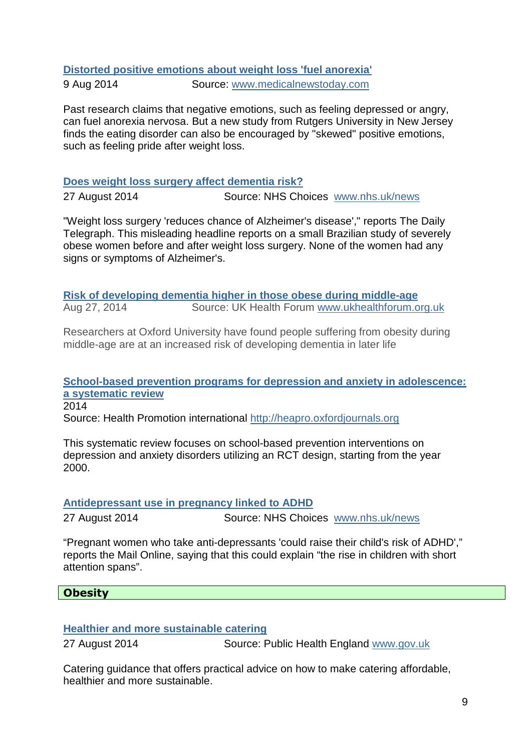# **Distorted positive emotions about weight loss 'fuel anorexia'**

9 Aug 2014 Source: www.medicalnewstoday.com

Past research claims that negative emotions, such as feeling depressed or angry, can fuel anorexia nervosa. But a new study from Rutgers University in New Jersey finds the eating disorder can also be encouraged by "skewed" positive emotions, such as feeling pride after weight loss.

## **Does weight loss surgery affect dementia risk?**

27 August 2014 Source: NHS Choices www.nhs.uk/news

"Weight loss surgery 'reduces chance of Alzheimer's disease'," reports The Daily Telegraph. This misleading headline reports on a small Brazilian study of severely obese women before and after weight loss surgery. None of the women had any signs or symptoms of Alzheimer's.

**Risk of developing dementia higher in those obese during middle-age**  Aug 27, 2014 Source: UK Health Forum www.ukhealthforum.org.uk

Researchers at Oxford University have found people suffering from obesity during middle-age are at an increased risk of developing dementia in later life

# **School-based prevention programs for depression and anxiety in adolescence: a systematic review**

2014

Source: Health Promotion international http://heapro.oxfordjournals.org

This systematic review focuses on school-based prevention interventions on depression and anxiety disorders utilizing an RCT design, starting from the year 2000.

# **Antidepressant use in pregnancy linked to ADHD**

27 August 2014 Source: NHS Choices www.nhs.uk/news

"Pregnant women who take anti-depressants 'could raise their child's risk of ADHD'," reports the Mail Online, saying that this could explain "the rise in children with short attention spans".

# **Obesity**

# **Healthier and more sustainable catering**

27 August 2014 Source: Public Health England www.gov.uk

Catering guidance that offers practical advice on how to make catering affordable, healthier and more sustainable.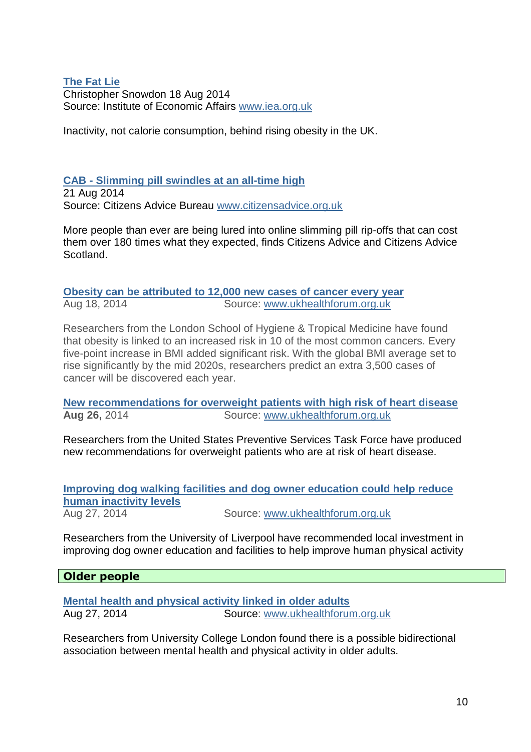#### **The Fat Lie** Christopher Snowdon 18 Aug 2014 Source: Institute of Economic Affairs www.iea.org.uk

Inactivity, not calorie consumption, behind rising obesity in the UK.

## **CAB - Slimming pill swindles at an all-time high**

21 Aug 2014 Source: Citizens Advice Bureau www.citizensadvice.org.uk

More people than ever are being lured into online slimming pill rip-offs that can cost them over 180 times what they expected, finds Citizens Advice and Citizens Advice Scotland.

## **Obesity can be attributed to 12,000 new cases of cancer every year**  Aug 18, 2014 Source: www.ukhealthforum.org.uk

Researchers from the London School of Hygiene & Tropical Medicine have found that obesity is linked to an increased risk in 10 of the most common cancers. Every five-point increase in BMI added significant risk. With the global BMI average set to rise significantly by the mid 2020s, researchers predict an extra 3,500 cases of cancer will be discovered each year.

**New recommendations for overweight patients with high risk of heart disease Aug 26,** 2014 Source: www.ukhealthforum.org.uk

Researchers from the United States Preventive Services Task Force have produced new recommendations for overweight patients who are at risk of heart disease.

| Improving dog walking facilities and dog owner education could help reduce |                                  |  |  |
|----------------------------------------------------------------------------|----------------------------------|--|--|
| human inactivity levels                                                    |                                  |  |  |
| Aug 27, 2014                                                               | Source: www.ukhealthforum.org.uk |  |  |

Researchers from the University of Liverpool have recommended local investment in improving dog owner education and facilities to help improve human physical activity

### **Older people**

**Mental health and physical activity linked in older adults**  Aug 27, 2014 Source: www.ukhealthforum.org.uk

Researchers from University College London found there is a possible bidirectional association between mental health and physical activity in older adults.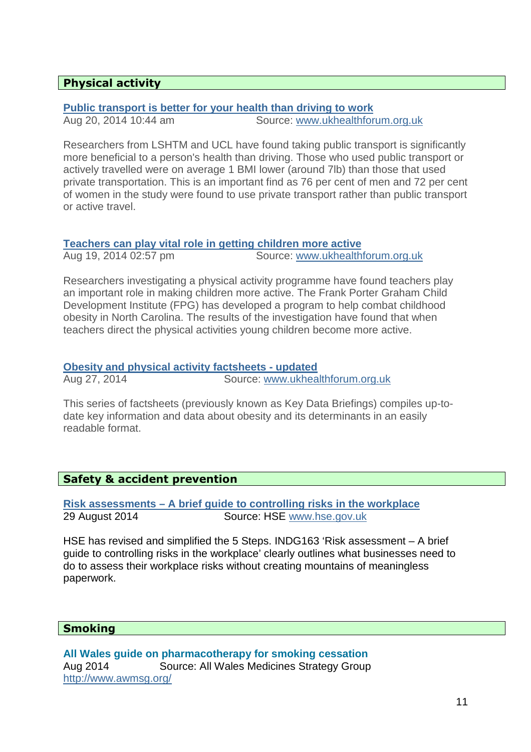## **Physical activity**

## **Public transport is better for your health than driving to work**

Aug 20, 2014 10:44 am Source: www.ukhealthforum.org.uk

Researchers from LSHTM and UCL have found taking public transport is significantly more beneficial to a person's health than driving. Those who used public transport or actively travelled were on average 1 BMI lower (around 7lb) than those that used private transportation. This is an important find as 76 per cent of men and 72 per cent of women in the study were found to use private transport rather than public transport or active travel.

**Teachers can play vital role in getting children more active**  Aug 19, 2014 02:57 pm Source: www.ukhealthforum.org.uk

Researchers investigating a physical activity programme have found teachers play an important role in making children more active. The Frank Porter Graham Child Development Institute (FPG) has developed a program to help combat childhood obesity in North Carolina. The results of the investigation have found that when teachers direct the physical activities young children become more active.

#### **Obesity and physical activity factsheets - updated** Aug 27, 2014 Source: www.ukhealthforum.org.uk

This series of factsheets (previously known as Key Data Briefings) compiles up-todate key information and data about obesity and its determinants in an easily readable format.

### **Safety & accident prevention**

**Risk assessments – A brief guide to controlling risks in the workplace** 29 August 2014 Source: HSE www.hse.gov.uk

HSE has revised and simplified the 5 Steps. INDG163 'Risk assessment – A brief guide to controlling risks in the workplace' clearly outlines what businesses need to do to assess their workplace risks without creating mountains of meaningless paperwork.

# **Smoking**

**All Wales guide on pharmacotherapy for smoking cessation**  Aug 2014 Source: All Wales Medicines Strategy Group http://www.awmsg.org/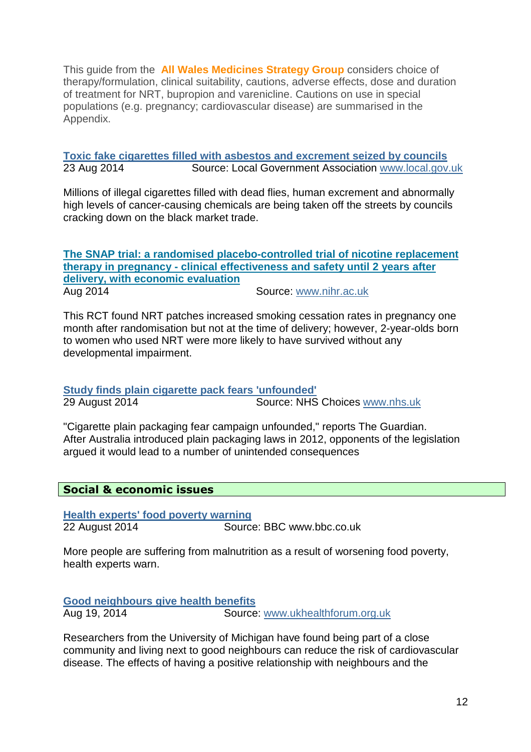This guide from the **All Wales Medicines Strategy Group** considers choice of therapy/formulation, clinical suitability, cautions, adverse effects, dose and duration of treatment for NRT, bupropion and varenicline. Cautions on use in special populations (e.g. pregnancy; cardiovascular disease) are summarised in the Appendix.

**Toxic fake cigarettes filled with asbestos and excrement seized by councils** 23 Aug 2014 Source: Local Government Association www.local.gov.uk

Millions of illegal cigarettes filled with dead flies, human excrement and abnormally high levels of cancer-causing chemicals are being taken off the streets by councils cracking down on the black market trade.

**The SNAP trial: a randomised placebo-controlled trial of nicotine replacement therapy in pregnancy - clinical effectiveness and safety until 2 years after delivery, with economic evaluation** Aug 2014 Source: www.nihr.ac.uk

This RCT found NRT patches increased smoking cessation rates in pregnancy one month after randomisation but not at the time of delivery; however, 2-year-olds born to women who used NRT were more likely to have survived without any developmental impairment.

**Study finds plain cigarette pack fears 'unfounded'**

29 August 2014 Source: NHS Choices www.nhs.uk

"Cigarette plain packaging fear campaign unfounded," reports The Guardian. After Australia introduced plain packaging laws in 2012, opponents of the legislation argued it would lead to a number of unintended consequences

# **Social & economic issues**

**Health experts' food poverty warning** 22 August 2014 Source: BBC www.bbc.co.uk

More people are suffering from malnutrition as a result of worsening food poverty, health experts warn.

**Good neighbours give health benefits**  Aug 19, 2014 Source: www.ukhealthforum.org.uk

Researchers from the University of Michigan have found being part of a close community and living next to good neighbours can reduce the risk of cardiovascular disease. The effects of having a positive relationship with neighbours and the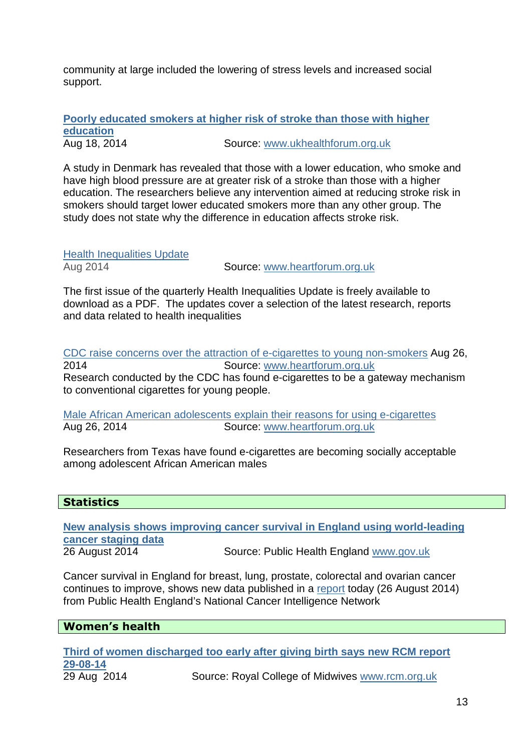community at large included the lowering of stress levels and increased social support.

**Poorly educated smokers at higher risk of stroke than those with higher education** 

Aug 18, 2014 Source: www.ukhealthforum.org.uk

A study in Denmark has revealed that those with a lower education, who smoke and have high blood pressure are at greater risk of a stroke than those with a higher education. The researchers believe any intervention aimed at reducing stroke risk in smokers should target lower educated smokers more than any other group. The study does not state why the difference in education affects stroke risk.

Health Inequalities Update

Aug 2014 Source: www.heartforum.org.uk

The first issue of the quarterly Health Inequalities Update is freely available to download as a PDF. The updates cover a selection of the latest research, reports and data related to health inequalities

CDC raise concerns over the attraction of e-cigarettes to young non-smokers Aug 26, 2014 Source: www.heartforum.org.uk Research conducted by the CDC has found e-cigarettes to be a gateway mechanism to conventional cigarettes for young people.

Male African American adolescents explain their reasons for using e-cigarettes Aug 26, 2014 Source: www.heartforum.org.uk

Researchers from Texas have found e-cigarettes are becoming socially acceptable among adolescent African American males

#### **Statistics**

**New analysis shows improving cancer survival in England using world-leading cancer staging data** 26 August 2014 Source: Public Health England www.gov.uk

Cancer survival in England for breast, lung, prostate, colorectal and ovarian cancer continues to improve, shows new data published in a report today (26 August 2014) from Public Health England's National Cancer Intelligence Network

# **Women's health**

**Third of women discharged too early after giving birth says new RCM report 29-08-14** Source: Royal College of Midwives www.rcm.org.uk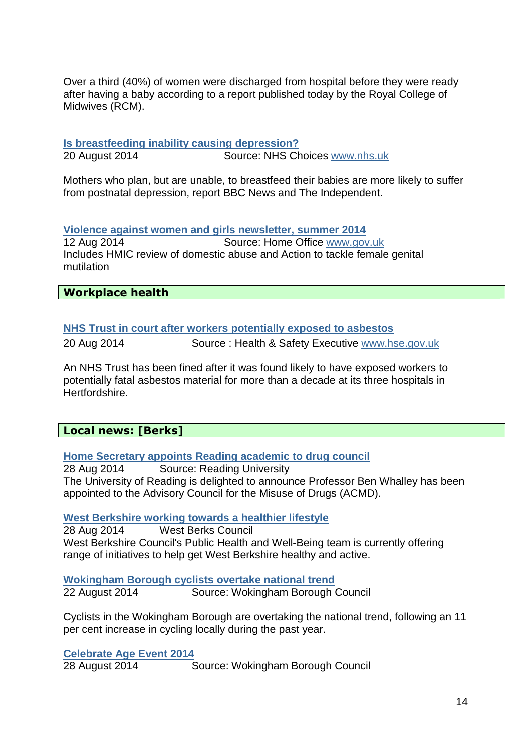Over a third (40%) of women were discharged from hospital before they were ready after having a baby according to a report published today by the Royal College of Midwives (RCM).

# **Is breastfeeding inability causing depression?**

20 August 2014 Source: NHS Choices www.nhs.uk

Mothers who plan, but are unable, to breastfeed their babies are more likely to suffer from postnatal depression, report BBC News and The Independent.

## **Violence against women and girls newsletter, summer 2014**

12 Aug 2014 Source: Home Office www.gov.uk Includes HMIC review of domestic abuse and Action to tackle female genital mutilation

## **Workplace health**

# **NHS Trust in court after workers potentially exposed to asbestos**

20 Aug 2014 Source : Health & Safety Executive www.hse.gov.uk

An NHS Trust has been fined after it was found likely to have exposed workers to potentially fatal asbestos material for more than a decade at its three hospitals in Hertfordshire.

# **Local news: [Berks]**

### **Home Secretary appoints Reading academic to drug council**

28 Aug 2014 Source: Reading University The University of Reading is delighted to announce Professor Ben Whalley has been appointed to the Advisory Council for the Misuse of Drugs (ACMD).

### **West Berkshire working towards a healthier lifestyle**

28 Aug 2014 West Berks Council West Berkshire Council's Public Health and Well-Being team is currently offering range of initiatives to help get West Berkshire healthy and active.

**Wokingham Borough cyclists overtake national trend**

22 August 2014 Source: Wokingham Borough Council

Cyclists in the Wokingham Borough are overtaking the national trend, following an 11 per cent increase in cycling locally during the past year.

# **Celebrate Age Event 2014**

28 August 2014 Source: Wokingham Borough Council